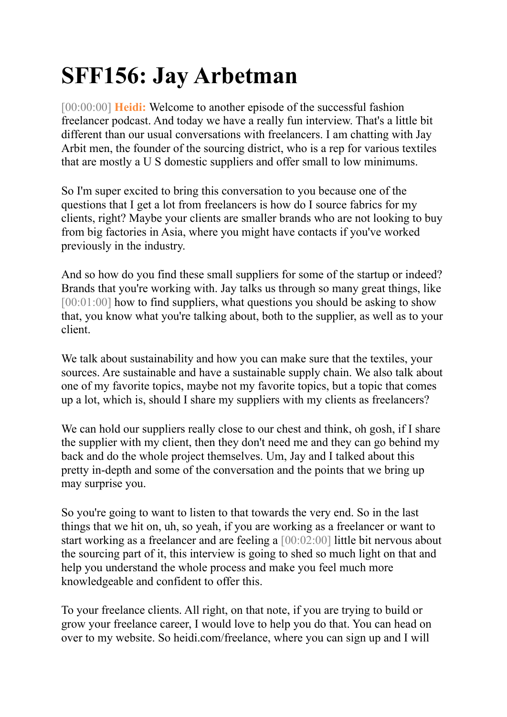# **SFF156: Jay Arbetman**

[00:00:00] **Heidi:** Welcome to another episode of the successful fashion freelancer podcast. And today we have a really fun interview. That's a little bit different than our usual conversations with freelancers. I am chatting with Jay Arbit men, the founder of the sourcing district, who is a rep for various textiles that are mostly a U S domestic suppliers and offer small to low minimums.

So I'm super excited to bring this conversation to you because one of the questions that I get a lot from freelancers is how do I source fabrics for my clients, right? Maybe your clients are smaller brands who are not looking to buy from big factories in Asia, where you might have contacts if you've worked previously in the industry.

And so how do you find these small suppliers for some of the startup or indeed? Brands that you're working with. Jay talks us through so many great things, like [00:01:00] how to find suppliers, what questions you should be asking to show that, you know what you're talking about, both to the supplier, as well as to your client.

We talk about sustainability and how you can make sure that the textiles, your sources. Are sustainable and have a sustainable supply chain. We also talk about one of my favorite topics, maybe not my favorite topics, but a topic that comes up a lot, which is, should I share my suppliers with my clients as freelancers?

We can hold our suppliers really close to our chest and think, oh gosh, if I share the supplier with my client, then they don't need me and they can go behind my back and do the whole project themselves. Um, Jay and I talked about this pretty in-depth and some of the conversation and the points that we bring up may surprise you.

So you're going to want to listen to that towards the very end. So in the last things that we hit on, uh, so yeah, if you are working as a freelancer or want to start working as a freelancer and are feeling a [00:02:00] little bit nervous about the sourcing part of it, this interview is going to shed so much light on that and help you understand the whole process and make you feel much more knowledgeable and confident to offer this.

To your freelance clients. All right, on that note, if you are trying to build or grow your freelance career, I would love to help you do that. You can head on over to my website. So heidi.com/freelance, where you can sign up and I will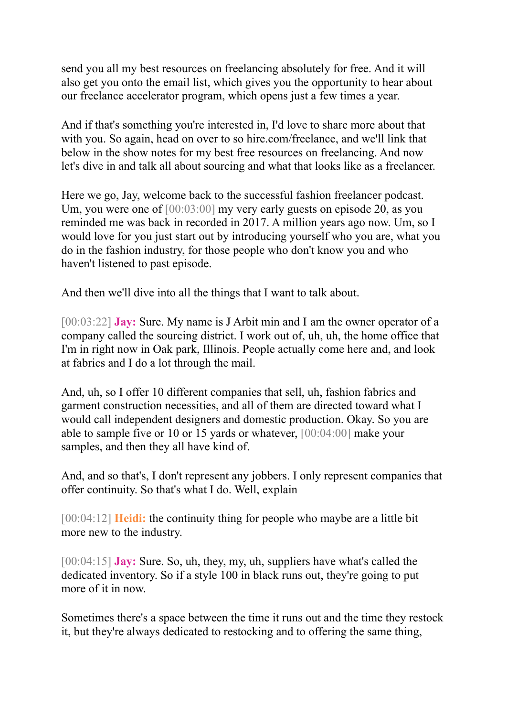send you all my best resources on freelancing absolutely for free. And it will also get you onto the email list, which gives you the opportunity to hear about our freelance accelerator program, which opens just a few times a year.

And if that's something you're interested in, I'd love to share more about that with you. So again, head on over to so hire.com/freelance, and we'll link that below in the show notes for my best free resources on freelancing. And now let's dive in and talk all about sourcing and what that looks like as a freelancer.

Here we go, Jay, welcome back to the successful fashion freelancer podcast. Um, you were one of [00:03:00] my very early guests on episode 20, as you reminded me was back in recorded in 2017. A million years ago now. Um, so I would love for you just start out by introducing yourself who you are, what you do in the fashion industry, for those people who don't know you and who haven't listened to past episode.

And then we'll dive into all the things that I want to talk about.

[00:03:22] **Jay:** Sure. My name is J Arbit min and I am the owner operator of a company called the sourcing district. I work out of, uh, uh, the home office that I'm in right now in Oak park, Illinois. People actually come here and, and look at fabrics and I do a lot through the mail.

And, uh, so I offer 10 different companies that sell, uh, fashion fabrics and garment construction necessities, and all of them are directed toward what I would call independent designers and domestic production. Okay. So you are able to sample five or 10 or 15 yards or whatever, [00:04:00] make your samples, and then they all have kind of.

And, and so that's, I don't represent any jobbers. I only represent companies that offer continuity. So that's what I do. Well, explain

[00:04:12] **Heidi:** the continuity thing for people who maybe are a little bit more new to the industry.

[00:04:15] **Jay:** Sure. So, uh, they, my, uh, suppliers have what's called the dedicated inventory. So if a style 100 in black runs out, they're going to put more of it in now.

Sometimes there's a space between the time it runs out and the time they restock it, but they're always dedicated to restocking and to offering the same thing,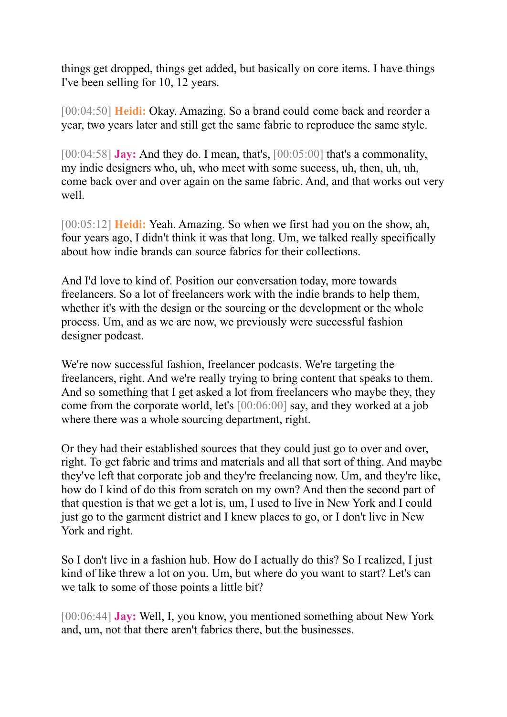things get dropped, things get added, but basically on core items. I have things I've been selling for 10, 12 years.

[00:04:50] **Heidi:** Okay. Amazing. So a brand could come back and reorder a year, two years later and still get the same fabric to reproduce the same style.

[00:04:58] **Jay:** And they do. I mean, that's, [00:05:00] that's a commonality, my indie designers who, uh, who meet with some success, uh, then, uh, uh, come back over and over again on the same fabric. And, and that works out very well.

[00:05:12] **Heidi:** Yeah. Amazing. So when we first had you on the show, ah, four years ago, I didn't think it was that long. Um, we talked really specifically about how indie brands can source fabrics for their collections.

And I'd love to kind of. Position our conversation today, more towards freelancers. So a lot of freelancers work with the indie brands to help them, whether it's with the design or the sourcing or the development or the whole process. Um, and as we are now, we previously were successful fashion designer podcast.

We're now successful fashion, freelancer podcasts. We're targeting the freelancers, right. And we're really trying to bring content that speaks to them. And so something that I get asked a lot from freelancers who maybe they, they come from the corporate world, let's [00:06:00] say, and they worked at a job where there was a whole sourcing department, right.

Or they had their established sources that they could just go to over and over, right. To get fabric and trims and materials and all that sort of thing. And maybe they've left that corporate job and they're freelancing now. Um, and they're like, how do I kind of do this from scratch on my own? And then the second part of that question is that we get a lot is, um, I used to live in New York and I could just go to the garment district and I knew places to go, or I don't live in New York and right.

So I don't live in a fashion hub. How do I actually do this? So I realized, I just kind of like threw a lot on you. Um, but where do you want to start? Let's can we talk to some of those points a little bit?

[00:06:44] **Jay:** Well, I, you know, you mentioned something about New York and, um, not that there aren't fabrics there, but the businesses.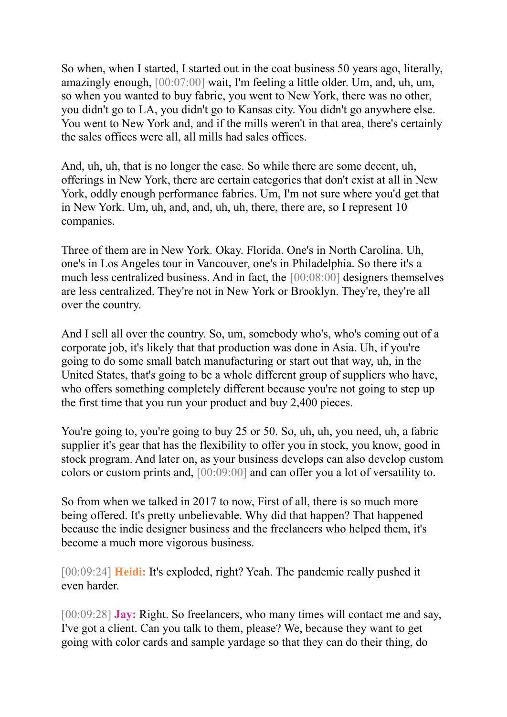So when, when I started, I started out in the coat business 50 years ago, literally, amazingly enough, [00:07:00] wait, I'm feeling a little older. Um, and, uh, um, so when you wanted to buy fabric, you went to New York, there was no other, you didn't go to LA, you didn't go to Kansas city. You didn't go anywhere else. You went to New York and, and if the mills weren't in that area, there's certainly the sales offices were all, all mills had sales offices.

And, uh, uh, that is no longer the case. So while there are some decent, uh, offerings in New York, there are certain categories that don't exist at all in New York, oddly enough performance fabrics. Um, I'm not sure where you'd get that in New York. Um, uh, and, and, uh, uh, there, there are, so I represent 10 companies.

Three of them are in New York. Okay. Florida. One's in North Carolina. Uh, one's in Los Angeles tour in Vancouver, one's in Philadelphia. So there it's a much less centralized business. And in fact, the [00:08:00] designers themselves are less centralized. They're not in New York or Brooklyn. They're, they're all over the country.

And I sell all over the country. So, um, somebody who's, who's coming out of a corporate job, it's likely that that production was done in Asia. Uh, if you're going to do some small batch manufacturing or start out that way, uh, in the United States, that's going to be a whole different group of suppliers who have, who offers something completely different because you're not going to step up the first time that you run your product and buy 2,400 pieces.

You're going to, you're going to buy 25 or 50. So, uh, uh, you need, uh, a fabric supplier it's gear that has the flexibility to offer you in stock, you know, good in stock program. And later on, as your business develops can also develop custom colors or custom prints and, [00:09:00] and can offer you a lot of versatility to.

So from when we talked in 2017 to now, First of all, there is so much more being offered. It's pretty unbelievable. Why did that happen? That happened because the indie designer business and the freelancers who helped them, it's become a much more vigorous business.

[00:09:24] **Heidi:** It's exploded, right? Yeah. The pandemic really pushed it even harder.

[00:09:28] **Jay:** Right. So freelancers, who many times will contact me and say, I've got a client. Can you talk to them, please? We, because they want to get going with color cards and sample yardage so that they can do their thing, do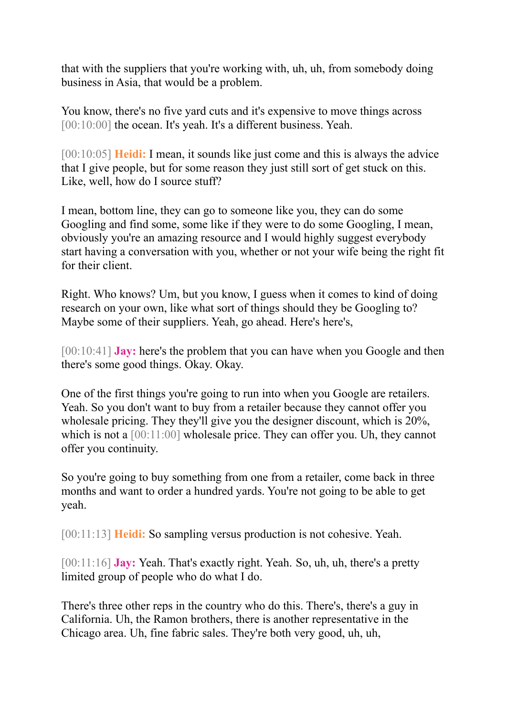that with the suppliers that you're working with, uh, uh, from somebody doing business in Asia, that would be a problem.

You know, there's no five yard cuts and it's expensive to move things across [00:10:00] the ocean. It's yeah. It's a different business. Yeah.

[00:10:05] **Heidi:** I mean, it sounds like just come and this is always the advice that I give people, but for some reason they just still sort of get stuck on this. Like, well, how do I source stuff?

I mean, bottom line, they can go to someone like you, they can do some Googling and find some, some like if they were to do some Googling, I mean, obviously you're an amazing resource and I would highly suggest everybody start having a conversation with you, whether or not your wife being the right fit for their client.

Right. Who knows? Um, but you know, I guess when it comes to kind of doing research on your own, like what sort of things should they be Googling to? Maybe some of their suppliers. Yeah, go ahead. Here's here's,

[00:10:41] **Jay:** here's the problem that you can have when you Google and then there's some good things. Okay. Okay.

One of the first things you're going to run into when you Google are retailers. Yeah. So you don't want to buy from a retailer because they cannot offer you wholesale pricing. They they'll give you the designer discount, which is 20%, which is not a [00:11:00] wholesale price. They can offer you. Uh, they cannot offer you continuity.

So you're going to buy something from one from a retailer, come back in three months and want to order a hundred yards. You're not going to be able to get yeah.

[00:11:13] **Heidi:** So sampling versus production is not cohesive. Yeah.

[00:11:16] **Jay:** Yeah. That's exactly right. Yeah. So, uh, uh, there's a pretty limited group of people who do what I do.

There's three other reps in the country who do this. There's, there's a guy in California. Uh, the Ramon brothers, there is another representative in the Chicago area. Uh, fine fabric sales. They're both very good, uh, uh,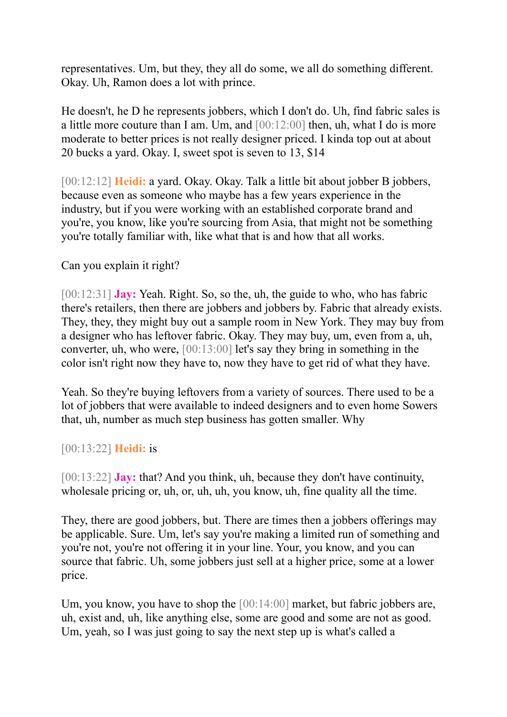representatives. Um, but they, they all do some, we all do something different. Okay. Uh, Ramon does a lot with prince.

He doesn't, he D he represents jobbers, which I don't do. Uh, find fabric sales is a little more couture than I am. Um, and [00:12:00] then, uh, what I do is more moderate to better prices is not really designer priced. I kinda top out at about 20 bucks a yard. Okay. I, sweet spot is seven to 13, \$14

[00:12:12] **Heidi:** a yard. Okay. Okay. Talk a little bit about jobber B jobbers, because even as someone who maybe has a few years experience in the industry, but if you were working with an established corporate brand and you're, you know, like you're sourcing from Asia, that might not be something you're totally familiar with, like what that is and how that all works.

Can you explain it right?

[00:12:31] **Jay:** Yeah. Right. So, so the, uh, the guide to who, who has fabric there's retailers, then there are jobbers and jobbers by. Fabric that already exists. They, they, they might buy out a sample room in New York. They may buy from a designer who has leftover fabric. Okay. They may buy, um, even from a, uh, converter, uh, who were, [00:13:00] let's say they bring in something in the color isn't right now they have to, now they have to get rid of what they have.

Yeah. So they're buying leftovers from a variety of sources. There used to be a lot of jobbers that were available to indeed designers and to even home Sowers that, uh, number as much step business has gotten smaller. Why

[00:13:22] **Heidi:** is

[00:13:22] **Jay:** that? And you think, uh, because they don't have continuity, wholesale pricing or, uh, or, uh, uh, you know, uh, fine quality all the time.

They, there are good jobbers, but. There are times then a jobbers offerings may be applicable. Sure. Um, let's say you're making a limited run of something and you're not, you're not offering it in your line. Your, you know, and you can source that fabric. Uh, some jobbers just sell at a higher price, some at a lower price.

Um, you know, you have to shop the [00:14:00] market, but fabric jobbers are, uh, exist and, uh, like anything else, some are good and some are not as good. Um, yeah, so I was just going to say the next step up is what's called a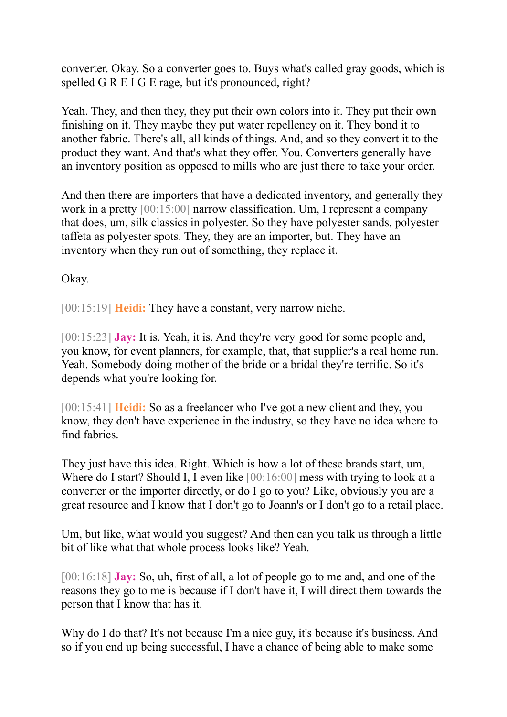converter. Okay. So a converter goes to. Buys what's called gray goods, which is spelled G R E I G E rage, but it's pronounced, right?

Yeah. They, and then they, they put their own colors into it. They put their own finishing on it. They maybe they put water repellency on it. They bond it to another fabric. There's all, all kinds of things. And, and so they convert it to the product they want. And that's what they offer. You. Converters generally have an inventory position as opposed to mills who are just there to take your order.

And then there are importers that have a dedicated inventory, and generally they work in a pretty [00:15:00] narrow classification. Um, I represent a company that does, um, silk classics in polyester. So they have polyester sands, polyester taffeta as polyester spots. They, they are an importer, but. They have an inventory when they run out of something, they replace it.

Okay.

[00:15:19] **Heidi:** They have a constant, very narrow niche.

[00:15:23] **Jay:** It is. Yeah, it is. And they're very good for some people and, you know, for event planners, for example, that, that supplier's a real home run. Yeah. Somebody doing mother of the bride or a bridal they're terrific. So it's depends what you're looking for.

[00:15:41] **Heidi:** So as a freelancer who I've got a new client and they, you know, they don't have experience in the industry, so they have no idea where to find fabrics.

They just have this idea. Right. Which is how a lot of these brands start, um, Where do I start? Should I, I even like  $[00:16:00]$  mess with trying to look at a converter or the importer directly, or do I go to you? Like, obviously you are a great resource and I know that I don't go to Joann's or I don't go to a retail place.

Um, but like, what would you suggest? And then can you talk us through a little bit of like what that whole process looks like? Yeah.

[00:16:18] **Jay:** So, uh, first of all, a lot of people go to me and, and one of the reasons they go to me is because if I don't have it, I will direct them towards the person that I know that has it.

Why do I do that? It's not because I'm a nice guy, it's because it's business. And so if you end up being successful, I have a chance of being able to make some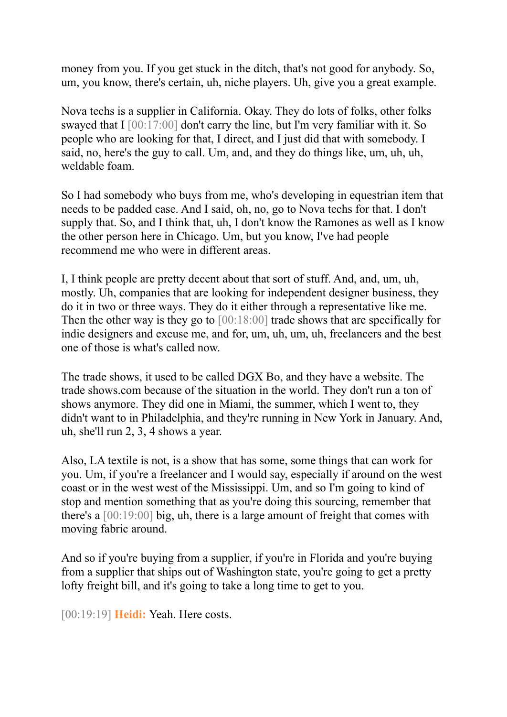money from you. If you get stuck in the ditch, that's not good for anybody. So, um, you know, there's certain, uh, niche players. Uh, give you a great example.

Nova techs is a supplier in California. Okay. They do lots of folks, other folks swayed that I [00:17:00] don't carry the line, but I'm very familiar with it. So people who are looking for that, I direct, and I just did that with somebody. I said, no, here's the guy to call. Um, and, and they do things like, um, uh, uh, weldable foam.

So I had somebody who buys from me, who's developing in equestrian item that needs to be padded case. And I said, oh, no, go to Nova techs for that. I don't supply that. So, and I think that, uh, I don't know the Ramones as well as I know the other person here in Chicago. Um, but you know, I've had people recommend me who were in different areas.

I, I think people are pretty decent about that sort of stuff. And, and, um, uh, mostly. Uh, companies that are looking for independent designer business, they do it in two or three ways. They do it either through a representative like me. Then the other way is they go to [00:18:00] trade shows that are specifically for indie designers and excuse me, and for, um, uh, um, uh, freelancers and the best one of those is what's called now.

The trade shows, it used to be called DGX Bo, and they have a website. The trade shows.com because of the situation in the world. They don't run a ton of shows anymore. They did one in Miami, the summer, which I went to, they didn't want to in Philadelphia, and they're running in New York in January. And, uh, she'll run 2, 3, 4 shows a year.

Also, LA textile is not, is a show that has some, some things that can work for you. Um, if you're a freelancer and I would say, especially if around on the west coast or in the west west of the Mississippi. Um, and so I'm going to kind of stop and mention something that as you're doing this sourcing, remember that there's a [00:19:00] big, uh, there is a large amount of freight that comes with moving fabric around.

And so if you're buying from a supplier, if you're in Florida and you're buying from a supplier that ships out of Washington state, you're going to get a pretty lofty freight bill, and it's going to take a long time to get to you.

[00:19:19] **Heidi:** Yeah. Here costs.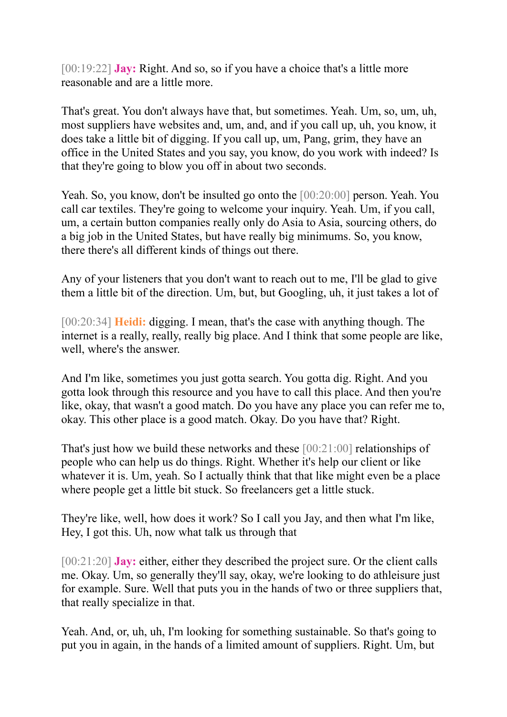[00:19:22] **Jay:** Right. And so, so if you have a choice that's a little more reasonable and are a little more.

That's great. You don't always have that, but sometimes. Yeah. Um, so, um, uh, most suppliers have websites and, um, and, and if you call up, uh, you know, it does take a little bit of digging. If you call up, um, Pang, grim, they have an office in the United States and you say, you know, do you work with indeed? Is that they're going to blow you off in about two seconds.

Yeah. So, you know, don't be insulted go onto the [00:20:00] person. Yeah. You call car textiles. They're going to welcome your inquiry. Yeah. Um, if you call, um, a certain button companies really only do Asia to Asia, sourcing others, do a big job in the United States, but have really big minimums. So, you know, there there's all different kinds of things out there.

Any of your listeners that you don't want to reach out to me, I'll be glad to give them a little bit of the direction. Um, but, but Googling, uh, it just takes a lot of

[00:20:34] **Heidi:** digging. I mean, that's the case with anything though. The internet is a really, really, really big place. And I think that some people are like, well, where's the answer.

And I'm like, sometimes you just gotta search. You gotta dig. Right. And you gotta look through this resource and you have to call this place. And then you're like, okay, that wasn't a good match. Do you have any place you can refer me to, okay. This other place is a good match. Okay. Do you have that? Right.

That's just how we build these networks and these [00:21:00] relationships of people who can help us do things. Right. Whether it's help our client or like whatever it is. Um, yeah. So I actually think that that like might even be a place where people get a little bit stuck. So freelancers get a little stuck.

They're like, well, how does it work? So I call you Jay, and then what I'm like, Hey, I got this. Uh, now what talk us through that

[00:21:20] **Jay:** either, either they described the project sure. Or the client calls me. Okay. Um, so generally they'll say, okay, we're looking to do athleisure just for example. Sure. Well that puts you in the hands of two or three suppliers that, that really specialize in that.

Yeah. And, or, uh, uh, I'm looking for something sustainable. So that's going to put you in again, in the hands of a limited amount of suppliers. Right. Um, but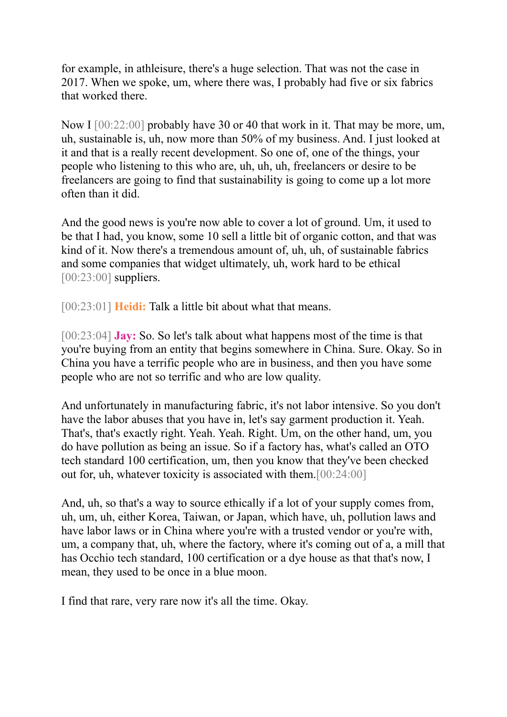for example, in athleisure, there's a huge selection. That was not the case in 2017. When we spoke, um, where there was, I probably had five or six fabrics that worked there.

Now I  $[00:22:00]$  probably have 30 or 40 that work in it. That may be more, um, uh, sustainable is, uh, now more than 50% of my business. And. I just looked at it and that is a really recent development. So one of, one of the things, your people who listening to this who are, uh, uh, uh, freelancers or desire to be freelancers are going to find that sustainability is going to come up a lot more often than it did.

And the good news is you're now able to cover a lot of ground. Um, it used to be that I had, you know, some 10 sell a little bit of organic cotton, and that was kind of it. Now there's a tremendous amount of, uh, uh, of sustainable fabrics and some companies that widget ultimately, uh, work hard to be ethical [00:23:00] suppliers.

[00:23:01] **Heidi:** Talk a little bit about what that means.

[00:23:04] **Jay:** So. So let's talk about what happens most of the time is that you're buying from an entity that begins somewhere in China. Sure. Okay. So in China you have a terrific people who are in business, and then you have some people who are not so terrific and who are low quality.

And unfortunately in manufacturing fabric, it's not labor intensive. So you don't have the labor abuses that you have in, let's say garment production it. Yeah. That's, that's exactly right. Yeah. Yeah. Right. Um, on the other hand, um, you do have pollution as being an issue. So if a factory has, what's called an OTO tech standard 100 certification, um, then you know that they've been checked out for, uh, whatever toxicity is associated with them.[00:24:00]

And, uh, so that's a way to source ethically if a lot of your supply comes from, uh, um, uh, either Korea, Taiwan, or Japan, which have, uh, pollution laws and have labor laws or in China where you're with a trusted vendor or you're with, um, a company that, uh, where the factory, where it's coming out of a, a mill that has Occhio tech standard, 100 certification or a dye house as that that's now, I mean, they used to be once in a blue moon.

I find that rare, very rare now it's all the time. Okay.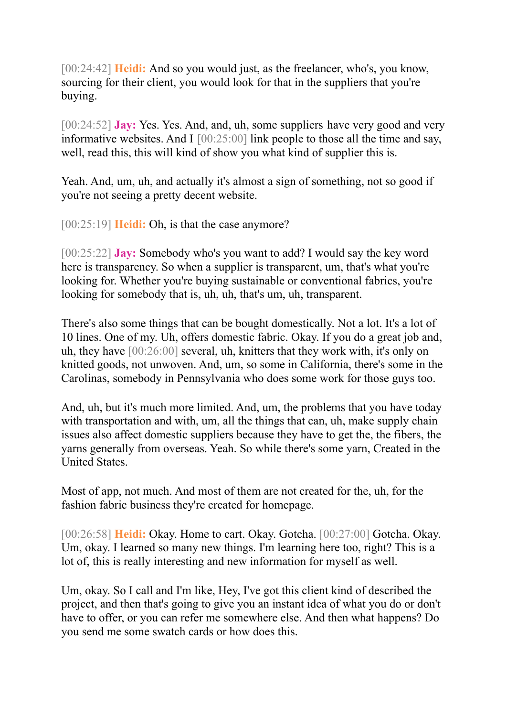[00:24:42] **Heidi:** And so you would just, as the freelancer, who's, you know, sourcing for their client, you would look for that in the suppliers that you're buying.

[00:24:52] **Jay:** Yes. Yes. And, and, uh, some suppliers have very good and very informative websites. And I  $[00:25:00]$  link people to those all the time and say, well, read this, this will kind of show you what kind of supplier this is.

Yeah. And, um, uh, and actually it's almost a sign of something, not so good if you're not seeing a pretty decent website.

[00:25:19] **Heidi:** Oh, is that the case anymore?

[00:25:22] **Jay:** Somebody who's you want to add? I would say the key word here is transparency. So when a supplier is transparent, um, that's what you're looking for. Whether you're buying sustainable or conventional fabrics, you're looking for somebody that is, uh, uh, that's um, uh, transparent.

There's also some things that can be bought domestically. Not a lot. It's a lot of 10 lines. One of my. Uh, offers domestic fabric. Okay. If you do a great job and, uh, they have [00:26:00] several, uh, knitters that they work with, it's only on knitted goods, not unwoven. And, um, so some in California, there's some in the Carolinas, somebody in Pennsylvania who does some work for those guys too.

And, uh, but it's much more limited. And, um, the problems that you have today with transportation and with, um, all the things that can, uh, make supply chain issues also affect domestic suppliers because they have to get the, the fibers, the yarns generally from overseas. Yeah. So while there's some yarn, Created in the United States.

Most of app, not much. And most of them are not created for the, uh, for the fashion fabric business they're created for homepage.

[00:26:58] **Heidi:** Okay. Home to cart. Okay. Gotcha. [00:27:00] Gotcha. Okay. Um, okay. I learned so many new things. I'm learning here too, right? This is a lot of, this is really interesting and new information for myself as well.

Um, okay. So I call and I'm like, Hey, I've got this client kind of described the project, and then that's going to give you an instant idea of what you do or don't have to offer, or you can refer me somewhere else. And then what happens? Do you send me some swatch cards or how does this.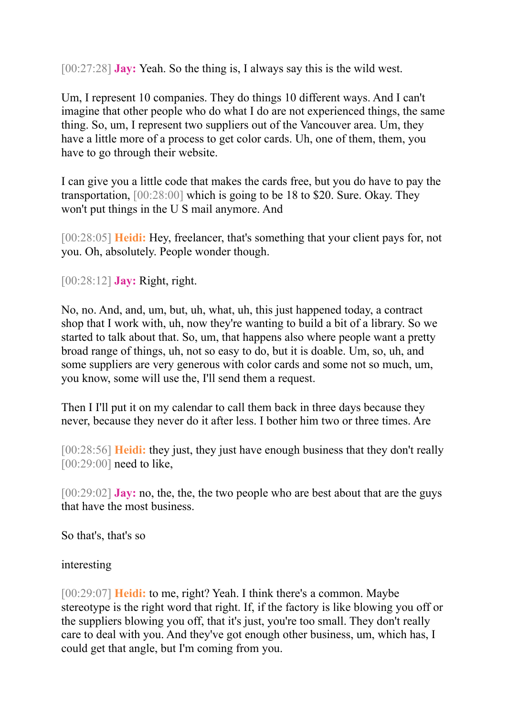[00:27:28] **Jay:** Yeah. So the thing is, I always say this is the wild west.

Um, I represent 10 companies. They do things 10 different ways. And I can't imagine that other people who do what I do are not experienced things, the same thing. So, um, I represent two suppliers out of the Vancouver area. Um, they have a little more of a process to get color cards. Uh, one of them, them, you have to go through their website.

I can give you a little code that makes the cards free, but you do have to pay the transportation, [00:28:00] which is going to be 18 to \$20. Sure. Okay. They won't put things in the U S mail anymore. And

[00:28:05] **Heidi:** Hey, freelancer, that's something that your client pays for, not you. Oh, absolutely. People wonder though.

[00:28:12] **Jay:** Right, right.

No, no. And, and, um, but, uh, what, uh, this just happened today, a contract shop that I work with, uh, now they're wanting to build a bit of a library. So we started to talk about that. So, um, that happens also where people want a pretty broad range of things, uh, not so easy to do, but it is doable. Um, so, uh, and some suppliers are very generous with color cards and some not so much, um, you know, some will use the, I'll send them a request.

Then I I'll put it on my calendar to call them back in three days because they never, because they never do it after less. I bother him two or three times. Are

[00:28:56] **Heidi:** they just, they just have enough business that they don't really [00:29:00] need to like.

[00:29:02] **Jay:** no, the, the, the two people who are best about that are the guys that have the most business.

So that's, that's so

interesting

[00:29:07] **Heidi:** to me, right? Yeah. I think there's a common. Maybe stereotype is the right word that right. If, if the factory is like blowing you off or the suppliers blowing you off, that it's just, you're too small. They don't really care to deal with you. And they've got enough other business, um, which has, I could get that angle, but I'm coming from you.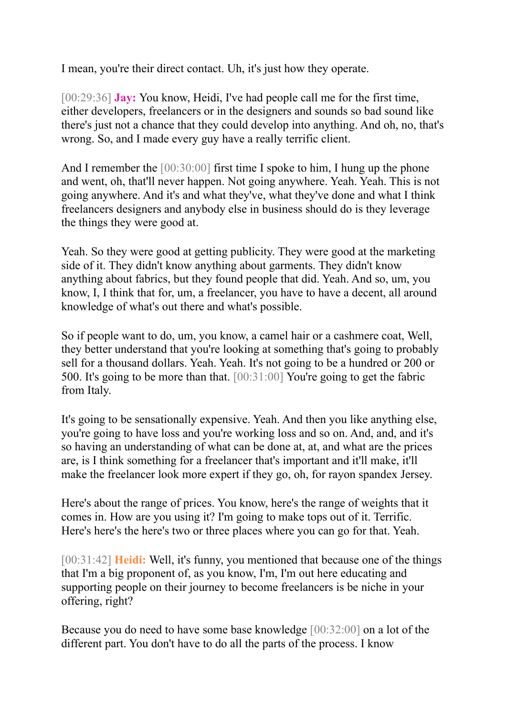I mean, you're their direct contact. Uh, it's just how they operate.

[00:29:36] **Jay:** You know, Heidi, I've had people call me for the first time, either developers, freelancers or in the designers and sounds so bad sound like there's just not a chance that they could develop into anything. And oh, no, that's wrong. So, and I made every guy have a really terrific client.

And I remember the [00:30:00] first time I spoke to him, I hung up the phone and went, oh, that'll never happen. Not going anywhere. Yeah. Yeah. This is not going anywhere. And it's and what they've, what they've done and what I think freelancers designers and anybody else in business should do is they leverage the things they were good at.

Yeah. So they were good at getting publicity. They were good at the marketing side of it. They didn't know anything about garments. They didn't know anything about fabrics, but they found people that did. Yeah. And so, um, you know, I, I think that for, um, a freelancer, you have to have a decent, all around knowledge of what's out there and what's possible.

So if people want to do, um, you know, a camel hair or a cashmere coat, Well, they better understand that you're looking at something that's going to probably sell for a thousand dollars. Yeah. Yeah. It's not going to be a hundred or 200 or 500. It's going to be more than that. [00:31:00] You're going to get the fabric from Italy.

It's going to be sensationally expensive. Yeah. And then you like anything else, you're going to have loss and you're working loss and so on. And, and, and it's so having an understanding of what can be done at, at, and what are the prices are, is I think something for a freelancer that's important and it'll make, it'll make the freelancer look more expert if they go, oh, for rayon spandex Jersey.

Here's about the range of prices. You know, here's the range of weights that it comes in. How are you using it? I'm going to make tops out of it. Terrific. Here's here's the here's two or three places where you can go for that. Yeah.

[00:31:42] **Heidi:** Well, it's funny, you mentioned that because one of the things that I'm a big proponent of, as you know, I'm, I'm out here educating and supporting people on their journey to become freelancers is be niche in your offering, right?

Because you do need to have some base knowledge [00:32:00] on a lot of the different part. You don't have to do all the parts of the process. I know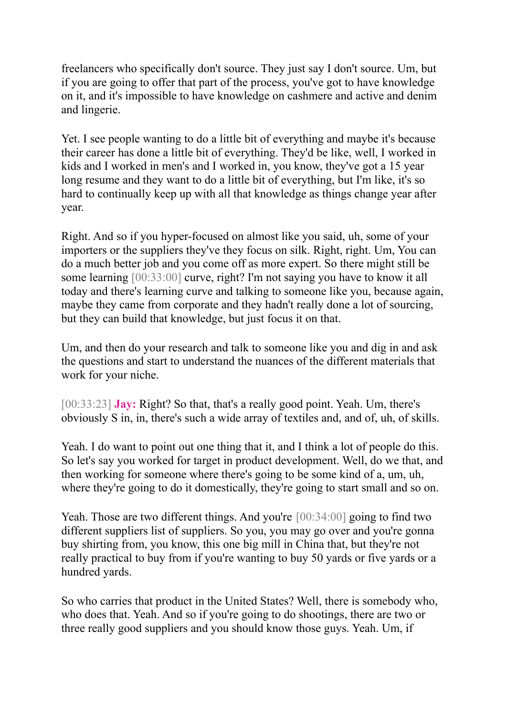freelancers who specifically don't source. They just say I don't source. Um, but if you are going to offer that part of the process, you've got to have knowledge on it, and it's impossible to have knowledge on cashmere and active and denim and lingerie.

Yet. I see people wanting to do a little bit of everything and maybe it's because their career has done a little bit of everything. They'd be like, well, I worked in kids and I worked in men's and I worked in, you know, they've got a 15 year long resume and they want to do a little bit of everything, but I'm like, it's so hard to continually keep up with all that knowledge as things change year after year.

Right. And so if you hyper-focused on almost like you said, uh, some of your importers or the suppliers they've they focus on silk. Right, right. Um, You can do a much better job and you come off as more expert. So there might still be some learning [00:33:00] curve, right? I'm not saying you have to know it all today and there's learning curve and talking to someone like you, because again, maybe they came from corporate and they hadn't really done a lot of sourcing, but they can build that knowledge, but just focus it on that.

Um, and then do your research and talk to someone like you and dig in and ask the questions and start to understand the nuances of the different materials that work for your niche.

[00:33:23] **Jay:** Right? So that, that's a really good point. Yeah. Um, there's obviously S in, in, there's such a wide array of textiles and, and of, uh, of skills.

Yeah. I do want to point out one thing that it, and I think a lot of people do this. So let's say you worked for target in product development. Well, do we that, and then working for someone where there's going to be some kind of a, um, uh, where they're going to do it domestically, they're going to start small and so on.

Yeah. Those are two different things. And you're [00:34:00] going to find two different suppliers list of suppliers. So you, you may go over and you're gonna buy shirting from, you know, this one big mill in China that, but they're not really practical to buy from if you're wanting to buy 50 yards or five yards or a hundred yards.

So who carries that product in the United States? Well, there is somebody who, who does that. Yeah. And so if you're going to do shootings, there are two or three really good suppliers and you should know those guys. Yeah. Um, if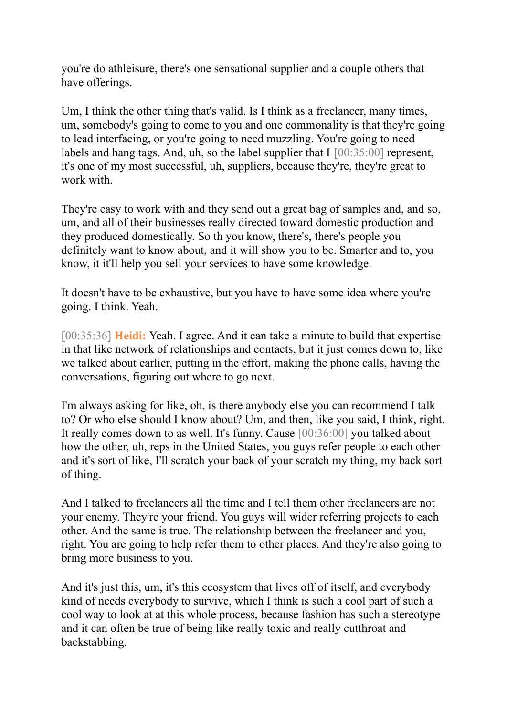you're do athleisure, there's one sensational supplier and a couple others that have offerings.

Um, I think the other thing that's valid. Is I think as a freelancer, many times, um, somebody's going to come to you and one commonality is that they're going to lead interfacing, or you're going to need muzzling. You're going to need labels and hang tags. And, uh, so the label supplier that  $I$  [00:35:00] represent, it's one of my most successful, uh, suppliers, because they're, they're great to work with.

They're easy to work with and they send out a great bag of samples and, and so, um, and all of their businesses really directed toward domestic production and they produced domestically. So th you know, there's, there's people you definitely want to know about, and it will show you to be. Smarter and to, you know, it it'll help you sell your services to have some knowledge.

It doesn't have to be exhaustive, but you have to have some idea where you're going. I think. Yeah.

[00:35:36] **Heidi:** Yeah. I agree. And it can take a minute to build that expertise in that like network of relationships and contacts, but it just comes down to, like we talked about earlier, putting in the effort, making the phone calls, having the conversations, figuring out where to go next.

I'm always asking for like, oh, is there anybody else you can recommend I talk to? Or who else should I know about? Um, and then, like you said, I think, right. It really comes down to as well. It's funny. Cause [00:36:00] you talked about how the other, uh, reps in the United States, you guys refer people to each other and it's sort of like, I'll scratch your back of your scratch my thing, my back sort of thing.

And I talked to freelancers all the time and I tell them other freelancers are not your enemy. They're your friend. You guys will wider referring projects to each other. And the same is true. The relationship between the freelancer and you, right. You are going to help refer them to other places. And they're also going to bring more business to you.

And it's just this, um, it's this ecosystem that lives off of itself, and everybody kind of needs everybody to survive, which I think is such a cool part of such a cool way to look at at this whole process, because fashion has such a stereotype and it can often be true of being like really toxic and really cutthroat and backstabbing.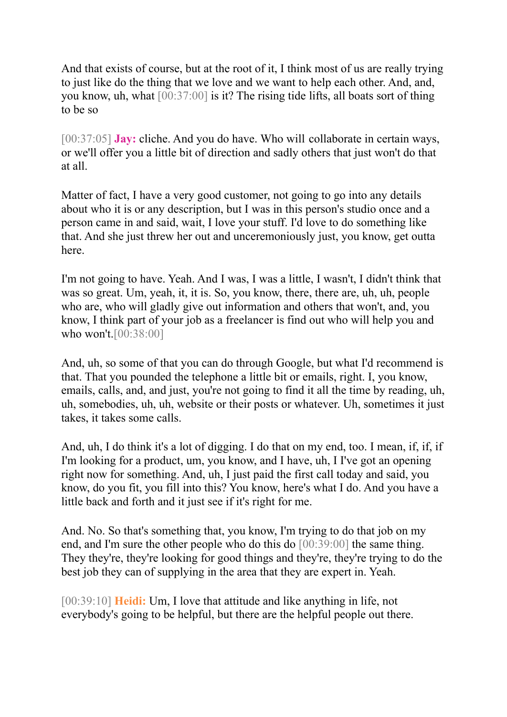And that exists of course, but at the root of it, I think most of us are really trying to just like do the thing that we love and we want to help each other. And, and, you know, uh, what [00:37:00] is it? The rising tide lifts, all boats sort of thing to be so

[00:37:05] **Jay:** cliche. And you do have. Who will collaborate in certain ways, or we'll offer you a little bit of direction and sadly others that just won't do that at all.

Matter of fact, I have a very good customer, not going to go into any details about who it is or any description, but I was in this person's studio once and a person came in and said, wait, I love your stuff. I'd love to do something like that. And she just threw her out and unceremoniously just, you know, get outta here.

I'm not going to have. Yeah. And I was, I was a little, I wasn't, I didn't think that was so great. Um, yeah, it, it is. So, you know, there, there are, uh, uh, people who are, who will gladly give out information and others that won't, and, you know, I think part of your job as a freelancer is find out who will help you and who won't.[00:38:00]

And, uh, so some of that you can do through Google, but what I'd recommend is that. That you pounded the telephone a little bit or emails, right. I, you know, emails, calls, and, and just, you're not going to find it all the time by reading, uh, uh, somebodies, uh, uh, website or their posts or whatever. Uh, sometimes it just takes, it takes some calls.

And, uh, I do think it's a lot of digging. I do that on my end, too. I mean, if, if, if I'm looking for a product, um, you know, and I have, uh, I I've got an opening right now for something. And, uh, I just paid the first call today and said, you know, do you fit, you fill into this? You know, here's what I do. And you have a little back and forth and it just see if it's right for me.

And. No. So that's something that, you know, I'm trying to do that job on my end, and I'm sure the other people who do this do [00:39:00] the same thing. They they're, they're looking for good things and they're, they're trying to do the best job they can of supplying in the area that they are expert in. Yeah.

[00:39:10] **Heidi:** Um, I love that attitude and like anything in life, not everybody's going to be helpful, but there are the helpful people out there.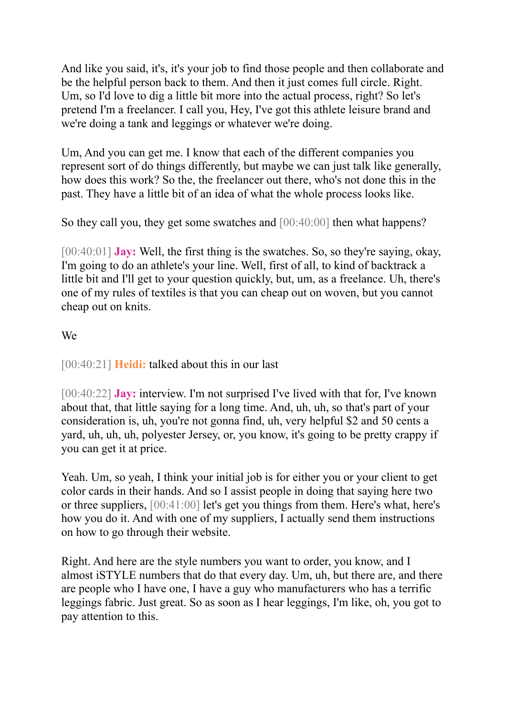And like you said, it's, it's your job to find those people and then collaborate and be the helpful person back to them. And then it just comes full circle. Right. Um, so I'd love to dig a little bit more into the actual process, right? So let's pretend I'm a freelancer. I call you, Hey, I've got this athlete leisure brand and we're doing a tank and leggings or whatever we're doing.

Um, And you can get me. I know that each of the different companies you represent sort of do things differently, but maybe we can just talk like generally, how does this work? So the, the freelancer out there, who's not done this in the past. They have a little bit of an idea of what the whole process looks like.

So they call you, they get some swatches and [00:40:00] then what happens?

[00:40:01] **Jay:** Well, the first thing is the swatches. So, so they're saying, okay, I'm going to do an athlete's your line. Well, first of all, to kind of backtrack a little bit and I'll get to your question quickly, but, um, as a freelance. Uh, there's one of my rules of textiles is that you can cheap out on woven, but you cannot cheap out on knits.

# We

[00:40:21] **Heidi:** talked about this in our last

[00:40:22] **Jay:** interview. I'm not surprised I've lived with that for, I've known about that, that little saying for a long time. And, uh, uh, so that's part of your consideration is, uh, you're not gonna find, uh, very helpful \$2 and 50 cents a yard, uh, uh, uh, polyester Jersey, or, you know, it's going to be pretty crappy if you can get it at price.

Yeah. Um, so yeah, I think your initial job is for either you or your client to get color cards in their hands. And so I assist people in doing that saying here two or three suppliers, [00:41:00] let's get you things from them. Here's what, here's how you do it. And with one of my suppliers, I actually send them instructions on how to go through their website.

Right. And here are the style numbers you want to order, you know, and I almost iSTYLE numbers that do that every day. Um, uh, but there are, and there are people who I have one, I have a guy who manufacturers who has a terrific leggings fabric. Just great. So as soon as I hear leggings, I'm like, oh, you got to pay attention to this.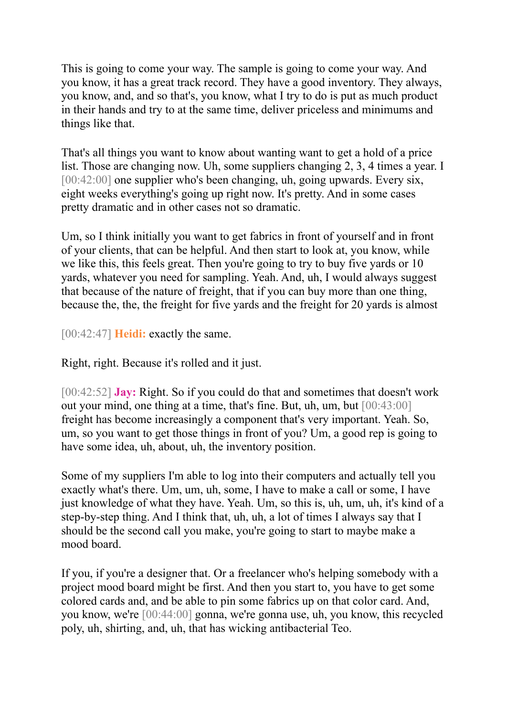This is going to come your way. The sample is going to come your way. And you know, it has a great track record. They have a good inventory. They always, you know, and, and so that's, you know, what I try to do is put as much product in their hands and try to at the same time, deliver priceless and minimums and things like that.

That's all things you want to know about wanting want to get a hold of a price list. Those are changing now. Uh, some suppliers changing 2, 3, 4 times a year. I [00:42:00] one supplier who's been changing, uh, going upwards. Every six, eight weeks everything's going up right now. It's pretty. And in some cases pretty dramatic and in other cases not so dramatic.

Um, so I think initially you want to get fabrics in front of yourself and in front of your clients, that can be helpful. And then start to look at, you know, while we like this, this feels great. Then you're going to try to buy five yards or 10 yards, whatever you need for sampling. Yeah. And, uh, I would always suggest that because of the nature of freight, that if you can buy more than one thing, because the, the, the freight for five yards and the freight for 20 yards is almost

[00:42:47] **Heidi:** exactly the same.

Right, right. Because it's rolled and it just.

[00:42:52] **Jay:** Right. So if you could do that and sometimes that doesn't work out your mind, one thing at a time, that's fine. But, uh, um, but [00:43:00] freight has become increasingly a component that's very important. Yeah. So, um, so you want to get those things in front of you? Um, a good rep is going to have some idea, uh, about, uh, the inventory position.

Some of my suppliers I'm able to log into their computers and actually tell you exactly what's there. Um, um, uh, some, I have to make a call or some, I have just knowledge of what they have. Yeah. Um, so this is, uh, um, uh, it's kind of a step-by-step thing. And I think that, uh, uh, a lot of times I always say that I should be the second call you make, you're going to start to maybe make a mood board.

If you, if you're a designer that. Or a freelancer who's helping somebody with a project mood board might be first. And then you start to, you have to get some colored cards and, and be able to pin some fabrics up on that color card. And, you know, we're [00:44:00] gonna, we're gonna use, uh, you know, this recycled poly, uh, shirting, and, uh, that has wicking antibacterial Teo.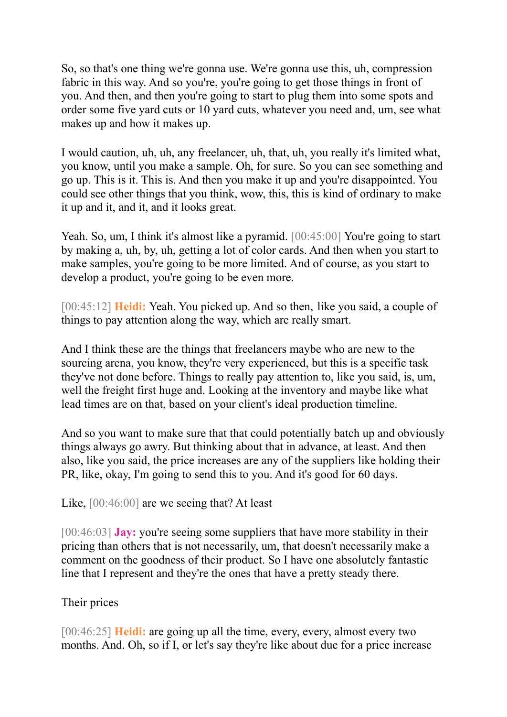So, so that's one thing we're gonna use. We're gonna use this, uh, compression fabric in this way. And so you're, you're going to get those things in front of you. And then, and then you're going to start to plug them into some spots and order some five yard cuts or 10 yard cuts, whatever you need and, um, see what makes up and how it makes up.

I would caution, uh, uh, any freelancer, uh, that, uh, you really it's limited what, you know, until you make a sample. Oh, for sure. So you can see something and go up. This is it. This is. And then you make it up and you're disappointed. You could see other things that you think, wow, this, this is kind of ordinary to make it up and it, and it, and it looks great.

Yeah. So, um, I think it's almost like a pyramid. [00:45:00] You're going to start by making a, uh, by, uh, getting a lot of color cards. And then when you start to make samples, you're going to be more limited. And of course, as you start to develop a product, you're going to be even more.

[00:45:12] **Heidi:** Yeah. You picked up. And so then, like you said, a couple of things to pay attention along the way, which are really smart.

And I think these are the things that freelancers maybe who are new to the sourcing arena, you know, they're very experienced, but this is a specific task they've not done before. Things to really pay attention to, like you said, is, um, well the freight first huge and. Looking at the inventory and maybe like what lead times are on that, based on your client's ideal production timeline.

And so you want to make sure that that could potentially batch up and obviously things always go awry. But thinking about that in advance, at least. And then also, like you said, the price increases are any of the suppliers like holding their PR, like, okay, I'm going to send this to you. And it's good for 60 days.

Like, [00:46:00] are we seeing that? At least

[00:46:03] **Jay:** you're seeing some suppliers that have more stability in their pricing than others that is not necessarily, um, that doesn't necessarily make a comment on the goodness of their product. So I have one absolutely fantastic line that I represent and they're the ones that have a pretty steady there.

### Their prices

[00:46:25] **Heidi:** are going up all the time, every, every, almost every two months. And. Oh, so if I, or let's say they're like about due for a price increase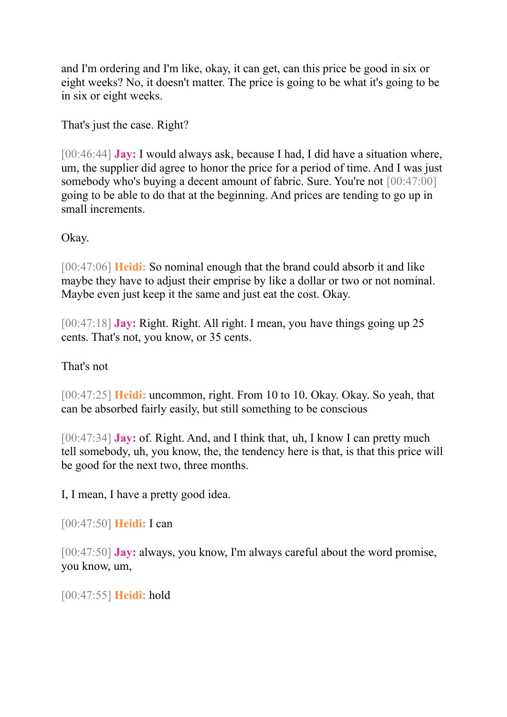and I'm ordering and I'm like, okay, it can get, can this price be good in six or eight weeks? No, it doesn't matter. The price is going to be what it's going to be in six or eight weeks.

That's just the case. Right?

[00:46:44] **Jay:** I would always ask, because I had, I did have a situation where, um, the supplier did agree to honor the price for a period of time. And I was just somebody who's buying a decent amount of fabric. Sure. You're not  $[00:47:00]$ going to be able to do that at the beginning. And prices are tending to go up in small increments.

Okay.

[00:47:06] **Heidi:** So nominal enough that the brand could absorb it and like maybe they have to adjust their emprise by like a dollar or two or not nominal. Maybe even just keep it the same and just eat the cost. Okay.

[00:47:18] **Jay:** Right. Right. All right. I mean, you have things going up 25 cents. That's not, you know, or 35 cents.

# That's not

[00:47:25] **Heidi:** uncommon, right. From 10 to 10. Okay. Okay. So yeah, that can be absorbed fairly easily, but still something to be conscious

[00:47:34] **Jay:** of. Right. And, and I think that, uh, I know I can pretty much tell somebody, uh, you know, the, the tendency here is that, is that this price will be good for the next two, three months.

I, I mean, I have a pretty good idea.

[00:47:50] **Heidi:** I can

[00:47:50] **Jay:** always, you know, I'm always careful about the word promise, you know, um,

[00:47:55] **Heidi:** hold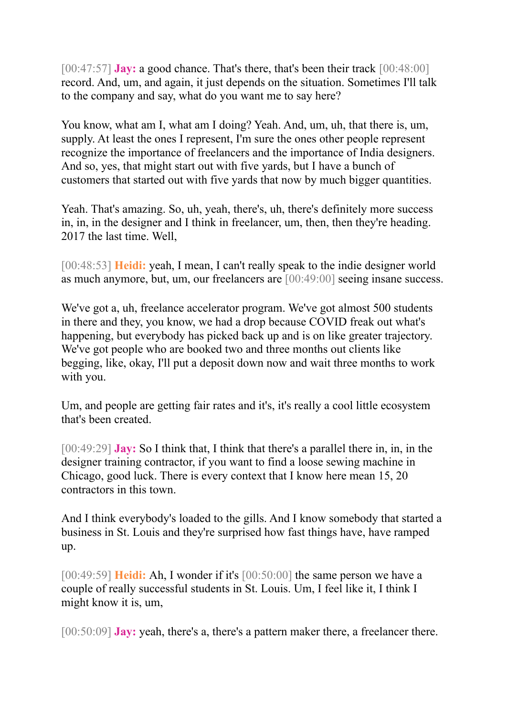[00:47:57] **Jay:** a good chance. That's there, that's been their track [00:48:00] record. And, um, and again, it just depends on the situation. Sometimes I'll talk to the company and say, what do you want me to say here?

You know, what am I, what am I doing? Yeah. And, um, uh, that there is, um, supply. At least the ones I represent, I'm sure the ones other people represent recognize the importance of freelancers and the importance of India designers. And so, yes, that might start out with five yards, but I have a bunch of customers that started out with five yards that now by much bigger quantities.

Yeah. That's amazing. So, uh, yeah, there's, uh, there's definitely more success in, in, in the designer and I think in freelancer, um, then, then they're heading. 2017 the last time. Well,

[00:48:53] **Heidi:** yeah, I mean, I can't really speak to the indie designer world as much anymore, but, um, our freelancers are [00:49:00] seeing insane success.

We've got a, uh, freelance accelerator program. We've got almost 500 students in there and they, you know, we had a drop because COVID freak out what's happening, but everybody has picked back up and is on like greater trajectory. We've got people who are booked two and three months out clients like begging, like, okay, I'll put a deposit down now and wait three months to work with you.

Um, and people are getting fair rates and it's, it's really a cool little ecosystem that's been created.

[00:49:29] **Jay:** So I think that, I think that there's a parallel there in, in, in the designer training contractor, if you want to find a loose sewing machine in Chicago, good luck. There is every context that I know here mean 15, 20 contractors in this town.

And I think everybody's loaded to the gills. And I know somebody that started a business in St. Louis and they're surprised how fast things have, have ramped up.

[00:49:59] **Heidi:** Ah, I wonder if it's [00:50:00] the same person we have a couple of really successful students in St. Louis. Um, I feel like it, I think I might know it is, um,

[00:50:09] **Jay:** yeah, there's a, there's a pattern maker there, a freelancer there.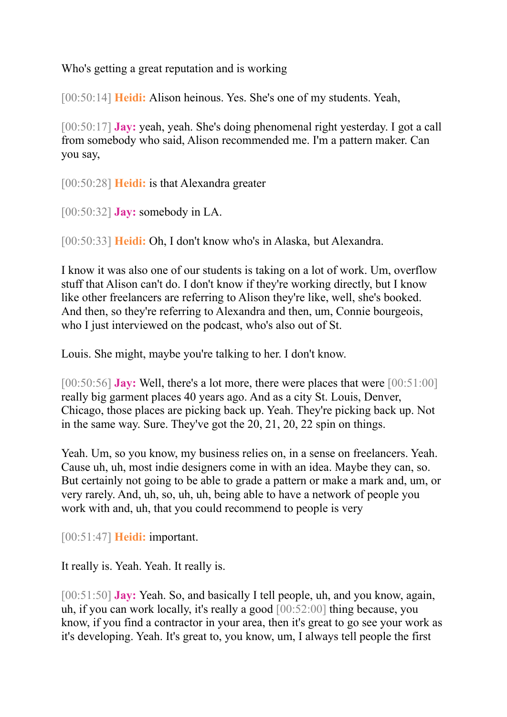Who's getting a great reputation and is working

[00:50:14] **Heidi:** Alison heinous. Yes. She's one of my students. Yeah,

[00:50:17] **Jay:** yeah, yeah. She's doing phenomenal right yesterday. I got a call from somebody who said, Alison recommended me. I'm a pattern maker. Can you say,

[00:50:28] **Heidi:** is that Alexandra greater

[00:50:32] **Jay:** somebody in LA.

[00:50:33] **Heidi:** Oh, I don't know who's in Alaska, but Alexandra.

I know it was also one of our students is taking on a lot of work. Um, overflow stuff that Alison can't do. I don't know if they're working directly, but I know like other freelancers are referring to Alison they're like, well, she's booked. And then, so they're referring to Alexandra and then, um, Connie bourgeois, who I just interviewed on the podcast, who's also out of St.

Louis. She might, maybe you're talking to her. I don't know.

[00:50:56] **Jay:** Well, there's a lot more, there were places that were [00:51:00] really big garment places 40 years ago. And as a city St. Louis, Denver, Chicago, those places are picking back up. Yeah. They're picking back up. Not in the same way. Sure. They've got the 20, 21, 20, 22 spin on things.

Yeah. Um, so you know, my business relies on, in a sense on freelancers. Yeah. Cause uh, uh, most indie designers come in with an idea. Maybe they can, so. But certainly not going to be able to grade a pattern or make a mark and, um, or very rarely. And, uh, so, uh, uh, being able to have a network of people you work with and, uh, that you could recommend to people is very

[00:51:47] **Heidi:** important.

It really is. Yeah. Yeah. It really is.

[00:51:50] **Jay:** Yeah. So, and basically I tell people, uh, and you know, again, uh, if you can work locally, it's really a good [00:52:00] thing because, you know, if you find a contractor in your area, then it's great to go see your work as it's developing. Yeah. It's great to, you know, um, I always tell people the first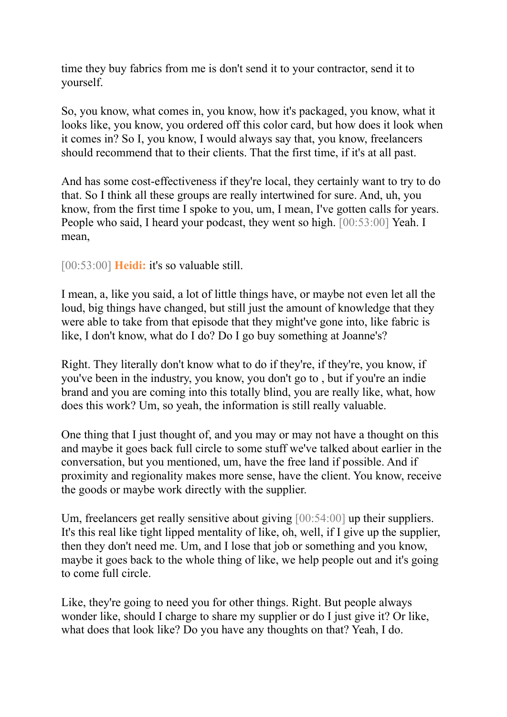time they buy fabrics from me is don't send it to your contractor, send it to yourself.

So, you know, what comes in, you know, how it's packaged, you know, what it looks like, you know, you ordered off this color card, but how does it look when it comes in? So I, you know, I would always say that, you know, freelancers should recommend that to their clients. That the first time, if it's at all past.

And has some cost-effectiveness if they're local, they certainly want to try to do that. So I think all these groups are really intertwined for sure. And, uh, you know, from the first time I spoke to you, um, I mean, I've gotten calls for years. People who said, I heard your podcast, they went so high. [00:53:00] Yeah. I mean,

[00:53:00] **Heidi:** it's so valuable still.

I mean, a, like you said, a lot of little things have, or maybe not even let all the loud, big things have changed, but still just the amount of knowledge that they were able to take from that episode that they might've gone into, like fabric is like, I don't know, what do I do? Do I go buy something at Joanne's?

Right. They literally don't know what to do if they're, if they're, you know, if you've been in the industry, you know, you don't go to , but if you're an indie brand and you are coming into this totally blind, you are really like, what, how does this work? Um, so yeah, the information is still really valuable.

One thing that I just thought of, and you may or may not have a thought on this and maybe it goes back full circle to some stuff we've talked about earlier in the conversation, but you mentioned, um, have the free land if possible. And if proximity and regionality makes more sense, have the client. You know, receive the goods or maybe work directly with the supplier.

Um, freelancers get really sensitive about giving [00:54:00] up their suppliers. It's this real like tight lipped mentality of like, oh, well, if I give up the supplier, then they don't need me. Um, and I lose that job or something and you know, maybe it goes back to the whole thing of like, we help people out and it's going to come full circle.

Like, they're going to need you for other things. Right. But people always wonder like, should I charge to share my supplier or do I just give it? Or like, what does that look like? Do you have any thoughts on that? Yeah, I do.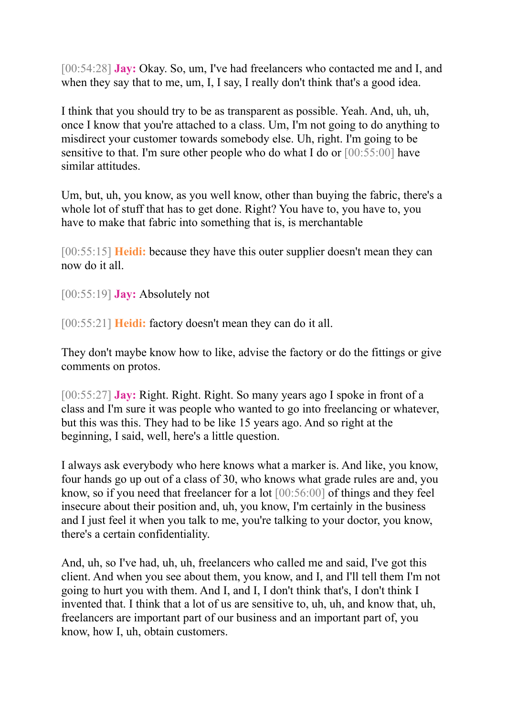[00:54:28] **Jay:** Okay. So, um, I've had freelancers who contacted me and I, and when they say that to me, um, I, I say, I really don't think that's a good idea.

I think that you should try to be as transparent as possible. Yeah. And, uh, uh, once I know that you're attached to a class. Um, I'm not going to do anything to misdirect your customer towards somebody else. Uh, right. I'm going to be sensitive to that. I'm sure other people who do what I do or [00:55:00] have similar attitudes.

Um, but, uh, you know, as you well know, other than buying the fabric, there's a whole lot of stuff that has to get done. Right? You have to, you have to, you have to make that fabric into something that is, is merchantable

[00:55:15] **Heidi:** because they have this outer supplier doesn't mean they can now do it all.

[00:55:19] **Jay:** Absolutely not

[00:55:21] **Heidi:** factory doesn't mean they can do it all.

They don't maybe know how to like, advise the factory or do the fittings or give comments on protos.

[00:55:27] **Jay:** Right. Right. Right. So many years ago I spoke in front of a class and I'm sure it was people who wanted to go into freelancing or whatever, but this was this. They had to be like 15 years ago. And so right at the beginning, I said, well, here's a little question.

I always ask everybody who here knows what a marker is. And like, you know, four hands go up out of a class of 30, who knows what grade rules are and, you know, so if you need that freelancer for a lot [00:56:00] of things and they feel insecure about their position and, uh, you know, I'm certainly in the business and I just feel it when you talk to me, you're talking to your doctor, you know, there's a certain confidentiality.

And, uh, so I've had, uh, uh, freelancers who called me and said, I've got this client. And when you see about them, you know, and I, and I'll tell them I'm not going to hurt you with them. And I, and I, I don't think that's, I don't think I invented that. I think that a lot of us are sensitive to, uh, uh, and know that, uh, freelancers are important part of our business and an important part of, you know, how I, uh, obtain customers.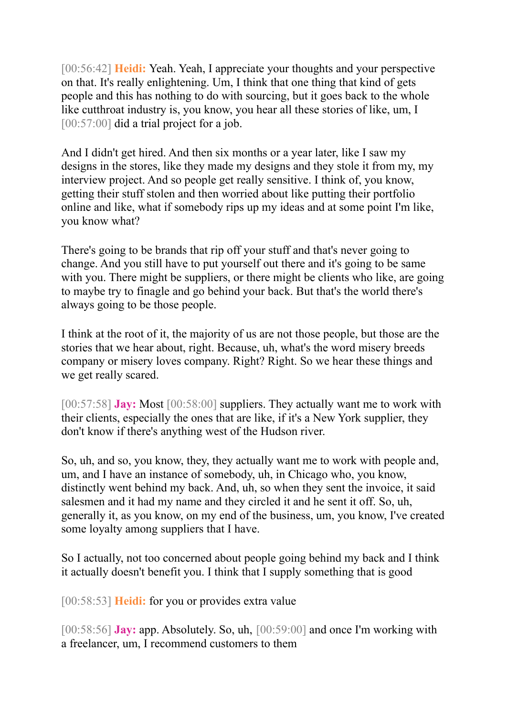[00:56:42] **Heidi:** Yeah. Yeah, I appreciate your thoughts and your perspective on that. It's really enlightening. Um, I think that one thing that kind of gets people and this has nothing to do with sourcing, but it goes back to the whole like cutthroat industry is, you know, you hear all these stories of like, um, I [00:57:00] did a trial project for a job.

And I didn't get hired. And then six months or a year later, like I saw my designs in the stores, like they made my designs and they stole it from my, my interview project. And so people get really sensitive. I think of, you know, getting their stuff stolen and then worried about like putting their portfolio online and like, what if somebody rips up my ideas and at some point I'm like, you know what?

There's going to be brands that rip off your stuff and that's never going to change. And you still have to put yourself out there and it's going to be same with you. There might be suppliers, or there might be clients who like, are going to maybe try to finagle and go behind your back. But that's the world there's always going to be those people.

I think at the root of it, the majority of us are not those people, but those are the stories that we hear about, right. Because, uh, what's the word misery breeds company or misery loves company. Right? Right. So we hear these things and we get really scared.

[00:57:58] **Jay:** Most [00:58:00] suppliers. They actually want me to work with their clients, especially the ones that are like, if it's a New York supplier, they don't know if there's anything west of the Hudson river.

So, uh, and so, you know, they, they actually want me to work with people and, um, and I have an instance of somebody, uh, in Chicago who, you know, distinctly went behind my back. And, uh, so when they sent the invoice, it said salesmen and it had my name and they circled it and he sent it off. So, uh, generally it, as you know, on my end of the business, um, you know, I've created some loyalty among suppliers that I have.

So I actually, not too concerned about people going behind my back and I think it actually doesn't benefit you. I think that I supply something that is good

[00:58:53] **Heidi:** for you or provides extra value

[00:58:56] **Jay:** app. Absolutely. So, uh, [00:59:00] and once I'm working with a freelancer, um, I recommend customers to them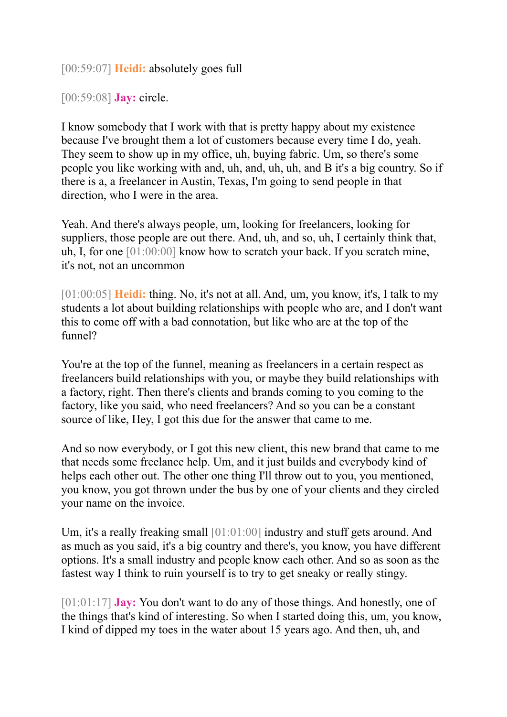[00:59:07] **Heidi:** absolutely goes full

[00:59:08] **Jay:** circle.

I know somebody that I work with that is pretty happy about my existence because I've brought them a lot of customers because every time I do, yeah. They seem to show up in my office, uh, buying fabric. Um, so there's some people you like working with and, uh, and, uh, uh, and B it's a big country. So if there is a, a freelancer in Austin, Texas, I'm going to send people in that direction, who I were in the area.

Yeah. And there's always people, um, looking for freelancers, looking for suppliers, those people are out there. And, uh, and so, uh, I certainly think that, uh, I, for one [01:00:00] know how to scratch your back. If you scratch mine, it's not, not an uncommon

[01:00:05] **Heidi:** thing. No, it's not at all. And, um, you know, it's, I talk to my students a lot about building relationships with people who are, and I don't want this to come off with a bad connotation, but like who are at the top of the funnel?

You're at the top of the funnel, meaning as freelancers in a certain respect as freelancers build relationships with you, or maybe they build relationships with a factory, right. Then there's clients and brands coming to you coming to the factory, like you said, who need freelancers? And so you can be a constant source of like, Hey, I got this due for the answer that came to me.

And so now everybody, or I got this new client, this new brand that came to me that needs some freelance help. Um, and it just builds and everybody kind of helps each other out. The other one thing I'll throw out to you, you mentioned, you know, you got thrown under the bus by one of your clients and they circled your name on the invoice.

Um, it's a really freaking small [01:01:00] industry and stuff gets around. And as much as you said, it's a big country and there's, you know, you have different options. It's a small industry and people know each other. And so as soon as the fastest way I think to ruin yourself is to try to get sneaky or really stingy.

[01:01:17] **Jay:** You don't want to do any of those things. And honestly, one of the things that's kind of interesting. So when I started doing this, um, you know, I kind of dipped my toes in the water about 15 years ago. And then, uh, and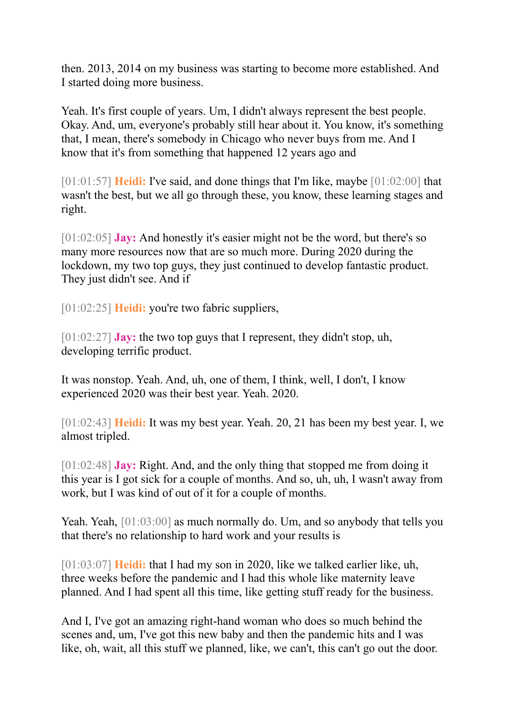then. 2013, 2014 on my business was starting to become more established. And I started doing more business.

Yeah. It's first couple of years. Um, I didn't always represent the best people. Okay. And, um, everyone's probably still hear about it. You know, it's something that, I mean, there's somebody in Chicago who never buys from me. And I know that it's from something that happened 12 years ago and

[01:01:57] **Heidi:** I've said, and done things that I'm like, maybe [01:02:00] that wasn't the best, but we all go through these, you know, these learning stages and right.

[01:02:05] **Jay:** And honestly it's easier might not be the word, but there's so many more resources now that are so much more. During 2020 during the lockdown, my two top guys, they just continued to develop fantastic product. They just didn't see. And if

[01:02:25] **Heidi:** you're two fabric suppliers,

[01:02:27] **Jay:** the two top guys that I represent, they didn't stop, uh, developing terrific product.

It was nonstop. Yeah. And, uh, one of them, I think, well, I don't, I know experienced 2020 was their best year. Yeah. 2020.

[01:02:43] **Heidi:** It was my best year. Yeah. 20, 21 has been my best year. I, we almost tripled.

[01:02:48] **Jay:** Right. And, and the only thing that stopped me from doing it this year is I got sick for a couple of months. And so, uh, uh, I wasn't away from work, but I was kind of out of it for a couple of months.

Yeah. Yeah,  $[01:03:00]$  as much normally do. Um, and so anybody that tells you that there's no relationship to hard work and your results is

[01:03:07] **Heidi:** that I had my son in 2020, like we talked earlier like, uh, three weeks before the pandemic and I had this whole like maternity leave planned. And I had spent all this time, like getting stuff ready for the business.

And I, I've got an amazing right-hand woman who does so much behind the scenes and, um, I've got this new baby and then the pandemic hits and I was like, oh, wait, all this stuff we planned, like, we can't, this can't go out the door.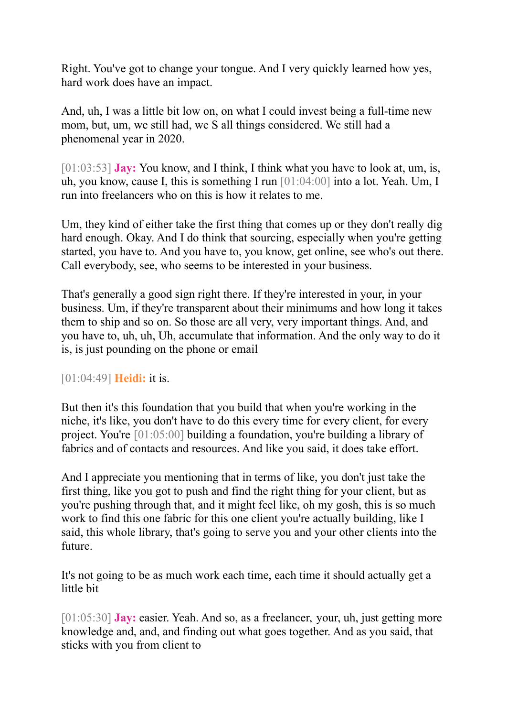Right. You've got to change your tongue. And I very quickly learned how yes, hard work does have an impact.

And, uh, I was a little bit low on, on what I could invest being a full-time new mom, but, um, we still had, we S all things considered. We still had a phenomenal year in 2020.

[01:03:53] **Jay:** You know, and I think, I think what you have to look at, um, is, uh, you know, cause I, this is something I run [01:04:00] into a lot. Yeah. Um, I run into freelancers who on this is how it relates to me.

Um, they kind of either take the first thing that comes up or they don't really dig hard enough. Okay. And I do think that sourcing, especially when you're getting started, you have to. And you have to, you know, get online, see who's out there. Call everybody, see, who seems to be interested in your business.

That's generally a good sign right there. If they're interested in your, in your business. Um, if they're transparent about their minimums and how long it takes them to ship and so on. So those are all very, very important things. And, and you have to, uh, uh, Uh, accumulate that information. And the only way to do it is, is just pounding on the phone or email

### [01:04:49] **Heidi:** it is.

But then it's this foundation that you build that when you're working in the niche, it's like, you don't have to do this every time for every client, for every project. You're [01:05:00] building a foundation, you're building a library of fabrics and of contacts and resources. And like you said, it does take effort.

And I appreciate you mentioning that in terms of like, you don't just take the first thing, like you got to push and find the right thing for your client, but as you're pushing through that, and it might feel like, oh my gosh, this is so much work to find this one fabric for this one client you're actually building, like I said, this whole library, that's going to serve you and your other clients into the future.

It's not going to be as much work each time, each time it should actually get a little bit

[01:05:30] **Jay:** easier. Yeah. And so, as a freelancer, your, uh, just getting more knowledge and, and, and finding out what goes together. And as you said, that sticks with you from client to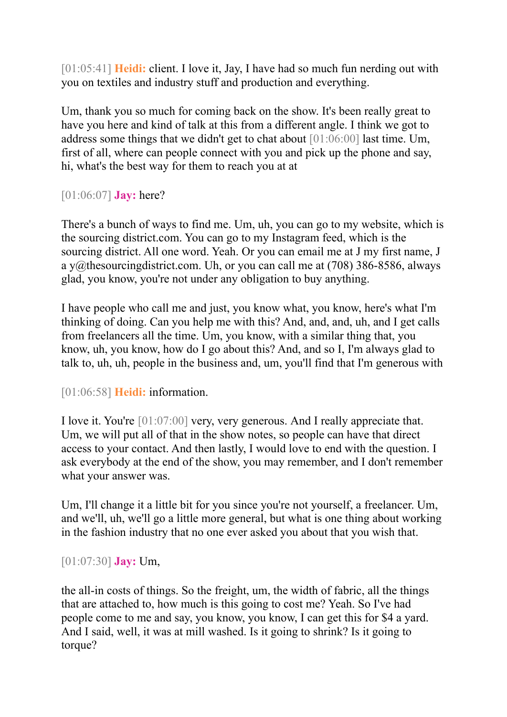[01:05:41] **Heidi:** client. I love it, Jay, I have had so much fun nerding out with you on textiles and industry stuff and production and everything.

Um, thank you so much for coming back on the show. It's been really great to have you here and kind of talk at this from a different angle. I think we got to address some things that we didn't get to chat about [01:06:00] last time. Um, first of all, where can people connect with you and pick up the phone and say, hi, what's the best way for them to reach you at at

[01:06:07] **Jay:** here?

There's a bunch of ways to find me. Um, uh, you can go to my website, which is the sourcing district.com. You can go to my Instagram feed, which is the sourcing district. All one word. Yeah. Or you can email me at J my first name, J a y@thesourcingdistrict.com. Uh, or you can call me at (708) 386-8586, always glad, you know, you're not under any obligation to buy anything.

I have people who call me and just, you know what, you know, here's what I'm thinking of doing. Can you help me with this? And, and, and, uh, and I get calls from freelancers all the time. Um, you know, with a similar thing that, you know, uh, you know, how do I go about this? And, and so I, I'm always glad to talk to, uh, uh, people in the business and, um, you'll find that I'm generous with

[01:06:58] **Heidi:** information.

I love it. You're [01:07:00] very, very generous. And I really appreciate that. Um, we will put all of that in the show notes, so people can have that direct access to your contact. And then lastly, I would love to end with the question. I ask everybody at the end of the show, you may remember, and I don't remember what your answer was.

Um, I'll change it a little bit for you since you're not yourself, a freelancer. Um, and we'll, uh, we'll go a little more general, but what is one thing about working in the fashion industry that no one ever asked you about that you wish that.

[01:07:30] **Jay:** Um,

the all-in costs of things. So the freight, um, the width of fabric, all the things that are attached to, how much is this going to cost me? Yeah. So I've had people come to me and say, you know, you know, I can get this for \$4 a yard. And I said, well, it was at mill washed. Is it going to shrink? Is it going to torque?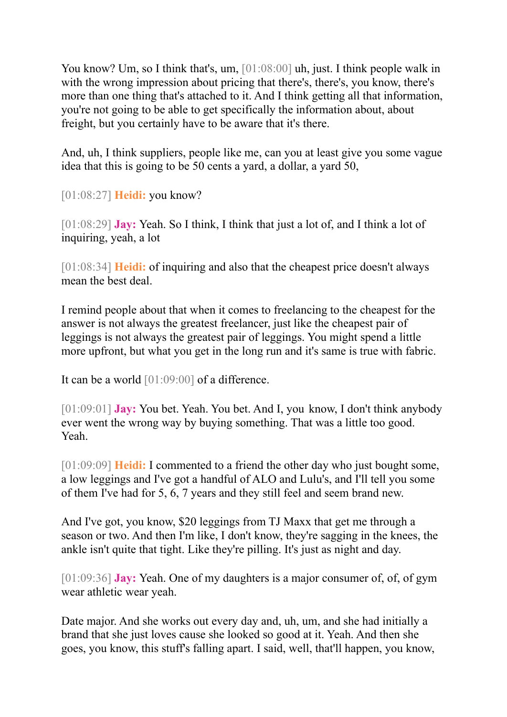You know? Um, so I think that's, um, [01:08:00] uh, just. I think people walk in with the wrong impression about pricing that there's, there's, you know, there's more than one thing that's attached to it. And I think getting all that information, you're not going to be able to get specifically the information about, about freight, but you certainly have to be aware that it's there.

And, uh, I think suppliers, people like me, can you at least give you some vague idea that this is going to be 50 cents a yard, a dollar, a yard 50,

[01:08:27] **Heidi:** you know?

[01:08:29] **Jay:** Yeah. So I think, I think that just a lot of, and I think a lot of inquiring, yeah, a lot

[01:08:34] **Heidi:** of inquiring and also that the cheapest price doesn't always mean the best deal.

I remind people about that when it comes to freelancing to the cheapest for the answer is not always the greatest freelancer, just like the cheapest pair of leggings is not always the greatest pair of leggings. You might spend a little more upfront, but what you get in the long run and it's same is true with fabric.

It can be a world [01:09:00] of a difference.

[01:09:01] **Jay:** You bet. Yeah. You bet. And I, you know, I don't think anybody ever went the wrong way by buying something. That was a little too good. Yeah.

[01:09:09] **Heidi:** I commented to a friend the other day who just bought some, a low leggings and I've got a handful of ALO and Lulu's, and I'll tell you some of them I've had for 5, 6, 7 years and they still feel and seem brand new.

And I've got, you know, \$20 leggings from TJ Maxx that get me through a season or two. And then I'm like, I don't know, they're sagging in the knees, the ankle isn't quite that tight. Like they're pilling. It's just as night and day.

[01:09:36] **Jay:** Yeah. One of my daughters is a major consumer of, of, of gym wear athletic wear yeah.

Date major. And she works out every day and, uh, um, and she had initially a brand that she just loves cause she looked so good at it. Yeah. And then she goes, you know, this stuff's falling apart. I said, well, that'll happen, you know,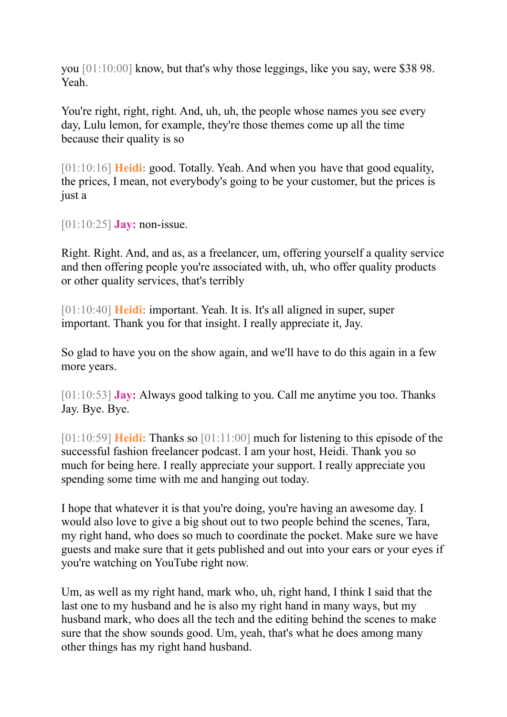you [01:10:00] know, but that's why those leggings, like you say, were \$38 98. Yeah.

You're right, right, right. And, uh, uh, the people whose names you see every day, Lulu lemon, for example, they're those themes come up all the time because their quality is so

[01:10:16] **Heidi:** good. Totally. Yeah. And when you have that good equality, the prices, I mean, not everybody's going to be your customer, but the prices is just a

[01:10:25] **Jay:** non-issue.

Right. Right. And, and as, as a freelancer, um, offering yourself a quality service and then offering people you're associated with, uh, who offer quality products or other quality services, that's terribly

[01:10:40] **Heidi:** important. Yeah. It is. It's all aligned in super, super important. Thank you for that insight. I really appreciate it, Jay.

So glad to have you on the show again, and we'll have to do this again in a few more years.

[01:10:53] **Jay:** Always good talking to you. Call me anytime you too. Thanks Jay. Bye. Bye.

[01:10:59] **Heidi:** Thanks so [01:11:00] much for listening to this episode of the successful fashion freelancer podcast. I am your host, Heidi. Thank you so much for being here. I really appreciate your support. I really appreciate you spending some time with me and hanging out today.

I hope that whatever it is that you're doing, you're having an awesome day. I would also love to give a big shout out to two people behind the scenes, Tara, my right hand, who does so much to coordinate the pocket. Make sure we have guests and make sure that it gets published and out into your ears or your eyes if you're watching on YouTube right now.

Um, as well as my right hand, mark who, uh, right hand, I think I said that the last one to my husband and he is also my right hand in many ways, but my husband mark, who does all the tech and the editing behind the scenes to make sure that the show sounds good. Um, yeah, that's what he does among many other things has my right hand husband.